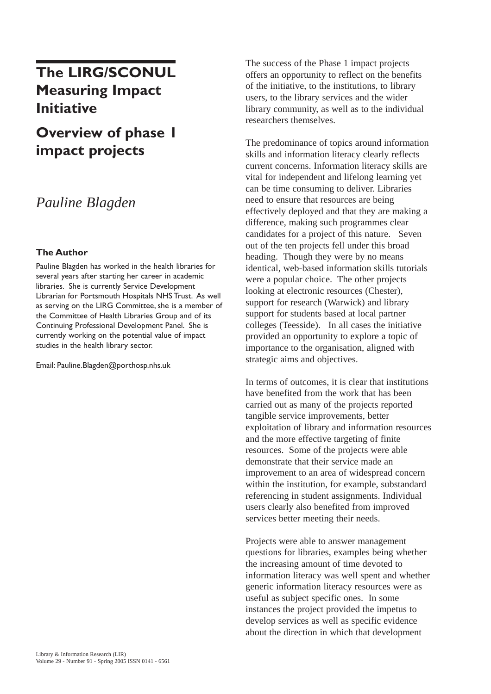# **The LIRG/SCONUL Measuring Impact Initiative**

# **Overview of phase 1 impact projects**

## *Pauline Blagden*

#### **The Author**

Pauline Blagden has worked in the health libraries for several years after starting her career in academic libraries. She is currently Service Development Librarian for Portsmouth Hospitals NHS Trust. As well as serving on the LIRG Committee, she is a member of the Committee of Health Libraries Group and of its Continuing Professional Development Panel. She is currently working on the potential value of impact studies in the health library sector.

Email: Pauline.Blagden@porthosp.nhs.uk

The success of the Phase 1 impact projects offers an opportunity to reflect on the benefits of the initiative, to the institutions, to library users, to the library services and the wider library community, as well as to the individual researchers themselves.

The predominance of topics around information skills and information literacy clearly reflects current concerns. Information literacy skills are vital for independent and lifelong learning yet can be time consuming to deliver. Libraries need to ensure that resources are being effectively deployed and that they are making a difference, making such programmes clear candidates for a project of this nature. Seven out of the ten projects fell under this broad heading. Though they were by no means identical, web-based information skills tutorials were a popular choice. The other projects looking at electronic resources (Chester), support for research (Warwick) and library support for students based at local partner colleges (Teesside). In all cases the initiative provided an opportunity to explore a topic of importance to the organisation, aligned with strategic aims and objectives.

In terms of outcomes, it is clear that institutions have benefited from the work that has been carried out as many of the projects reported tangible service improvements, better exploitation of library and information resources and the more effective targeting of finite resources. Some of the projects were able demonstrate that their service made an improvement to an area of widespread concern within the institution, for example, substandard referencing in student assignments. Individual users clearly also benefited from improved services better meeting their needs.

Projects were able to answer management questions for libraries, examples being whether the increasing amount of time devoted to information literacy was well spent and whether generic information literacy resources were as useful as subject specific ones. In some instances the project provided the impetus to develop services as well as specific evidence about the direction in which that development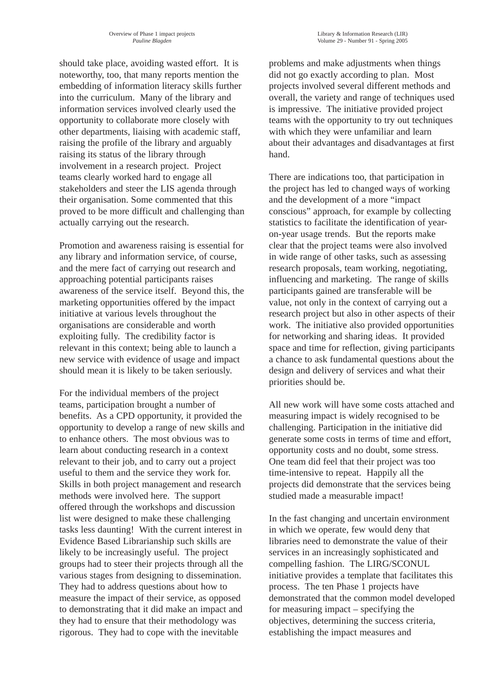should take place, avoiding wasted effort. It is noteworthy, too, that many reports mention the embedding of information literacy skills further into the curriculum. Many of the library and information services involved clearly used the opportunity to collaborate more closely with other departments, liaising with academic staff, raising the profile of the library and arguably raising its status of the library through involvement in a research project. Project teams clearly worked hard to engage all stakeholders and steer the LIS agenda through their organisation. Some commented that this proved to be more difficult and challenging than actually carrying out the research.

Promotion and awareness raising is essential for any library and information service, of course, and the mere fact of carrying out research and approaching potential participants raises awareness of the service itself. Beyond this, the marketing opportunities offered by the impact initiative at various levels throughout the organisations are considerable and worth exploiting fully. The credibility factor is relevant in this context; being able to launch a new service with evidence of usage and impact should mean it is likely to be taken seriously.

For the individual members of the project teams, participation brought a number of benefits. As a CPD opportunity, it provided the opportunity to develop a range of new skills and to enhance others. The most obvious was to learn about conducting research in a context relevant to their job, and to carry out a project useful to them and the service they work for. Skills in both project management and research methods were involved here. The support offered through the workshops and discussion list were designed to make these challenging tasks less daunting! With the current interest in Evidence Based Librarianship such skills are likely to be increasingly useful. The project groups had to steer their projects through all the various stages from designing to dissemination. They had to address questions about how to measure the impact of their service, as opposed to demonstrating that it did make an impact and they had to ensure that their methodology was rigorous. They had to cope with the inevitable

problems and make adjustments when things did not go exactly according to plan. Most projects involved several different methods and overall, the variety and range of techniques used is impressive. The initiative provided project teams with the opportunity to try out techniques with which they were unfamiliar and learn about their advantages and disadvantages at first hand.

There are indications too, that participation in the project has led to changed ways of working and the development of a more "impact conscious" approach, for example by collecting statistics to facilitate the identification of yearon-year usage trends. But the reports make clear that the project teams were also involved in wide range of other tasks, such as assessing research proposals, team working, negotiating, influencing and marketing. The range of skills participants gained are transferable will be value, not only in the context of carrying out a research project but also in other aspects of their work. The initiative also provided opportunities for networking and sharing ideas. It provided space and time for reflection, giving participants a chance to ask fundamental questions about the design and delivery of services and what their priorities should be.

All new work will have some costs attached and measuring impact is widely recognised to be challenging. Participation in the initiative did generate some costs in terms of time and effort, opportunity costs and no doubt, some stress. One team did feel that their project was too time-intensive to repeat. Happily all the projects did demonstrate that the services being studied made a measurable impact!

In the fast changing and uncertain environment in which we operate, few would deny that libraries need to demonstrate the value of their services in an increasingly sophisticated and compelling fashion. The LIRG/SCONUL initiative provides a template that facilitates this process. The ten Phase 1 projects have demonstrated that the common model developed for measuring impact – specifying the objectives, determining the success criteria, establishing the impact measures and